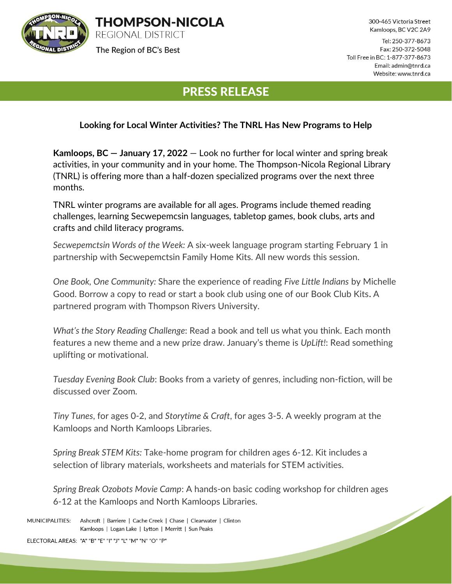

**THOMPSON-NICOLA REGIONAL DISTRICT** 

The Region of BC's Best

300-465 Victoria Street Kamloops, BC V2C 2A9

Tel: 250-377-8673 Fax: 250-372-5048 Toll Free in BC: 1-877-377-8673 Email: admin@tnrd.ca Website: www.tnrd.ca

## PRESS RELEASE

## **Looking for Local Winter Activities? The TNRL Has New Programs to Help**

**Kamloops, BC — January 17, 2022** — Look no further for local winter and spring break activities, in your community and in your home. The Thompson-Nicola Regional Library (TNRL) is offering more than a half-dozen specialized programs over the next three months.

TNRL winter programs are available for all ages. Programs include themed reading challenges, learning Secwepemcsin languages, tabletop games, book clubs, arts and crafts and child literacy programs.

*Secwepemctsin Words of the Week:* A six-week language program starting February 1 in partnership with Secwepemctsin Family Home Kits. All new words this session.

*One Book, One Community:* Share the experience of reading *Five Little Indians* by Michelle Good. Borrow a copy to read or start a book club using one of our Book Club Kits**.** A partnered program with Thompson Rivers University.

*What's the Story Reading Challenge*: Read a book and tell us what you think. Each month features a new theme and a new prize draw. January's theme is *UpLift!*: Read something uplifting or motivational.

*Tuesday Evening Book Club*: Books from a variety of genres, including non-fiction, will be discussed over Zoom.

*Tiny Tunes*, for ages 0-2, and *Storytime & Craft*, for ages 3-5. A weekly program at the Kamloops and North Kamloops Libraries.

*Spring Break STEM Kits:* Take-home program for children ages 6-12. Kit includes a selection of library materials, worksheets and materials for STEM activities.

*Spring Break Ozobots Movie Camp*: A hands-on basic coding workshop for children ages 6-12 at the Kamloops and North Kamloops Libraries.  $\overline{\phantom{a}}$ 

MUNICIPALITIES: Ashcroft | Barriere | Cache Creek | Chase | Clearwater | Clinton Kamloops | Logan Lake | Lytton | Merritt | Sun Peaks

ELECTORAL AREAS: "A" "B" "E" "I" "J" "L" "M" "N" "O" "P"